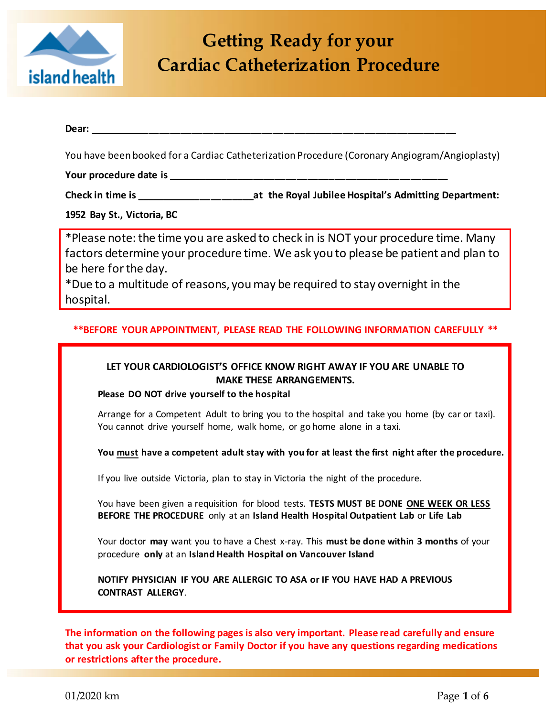

## **Getting Ready for your Cardiac Catheterization Procedure**

# Dear:

You have been booked for a Cardiac Catheterization Procedure (Coronary Angiogram/Angioplasty)

**Your procedure date is \_\_\_\_\_\_\_\_\_\_\_\_\_\_\_\_\_\_\_\_\_\_\_\_\_\_\_\_\_\_\_\_\_\_\_\_\_\_\_\_\_\_\_\_\_\_\_\_\_\_\_\_**

**Check in time is \_\_\_\_\_\_\_\_\_\_\_\_\_\_\_\_\_\_\_\_\_\_at the Royal Jubilee Hospital's Admitting Department:** 

**1952 Bay St., Victoria, BC**

\*Please note: the time you are asked to check in is NOT your procedure time. Many factors determine your procedure time. We ask you to please be patient and plan to be here for the day.

\*Due to a multitude of reasons, you may be required to stay overnight in the hospital.

#### **\*\*BEFORE YOUR APPOINTMENT, PLEASE READ THE FOLLOWING INFORMATION CAREFULLY \*\***

### **LET YOUR CARDIOLOGIST'S OFFICE KNOW RIGHT AWAY IF YOU ARE UNABLE TO MAKE THESE ARRANGEMENTS.**

**Please DO NOT drive yourself to the hospital**

Arrange for a Competent Adult to bring you to the hospital and take you home (by car or taxi). You cannot drive yourself home, walk home, or go home alone in a taxi.

**You must have a competent adult stay with you for at least the first night after the procedure.** 

If you live outside Victoria, plan to stay in Victoria the night of the procedure.

You have been given a requisition for blood tests. **TESTS MUST BE DONE ONE WEEK OR LESS BEFORE THE PROCEDURE** only at an **Island Health Hospital Outpatient Lab** or **Life Lab**

Your doctor **may** want you to have a Chest x-ray. This **must be done within 3 months** of your procedure **only** at an **Island Health Hospital on Vancouver Island**

**NOTIFY PHYSICIAN IF YOU ARE ALLERGIC TO ASA or IF YOU HAVE HAD A PREVIOUS CONTRAST ALLERGY**.

**The information on the following pages is also very important. Please read carefully and ensure that you ask your Cardiologist or Family Doctor if you have any questions regarding medications or restrictions after the procedure.**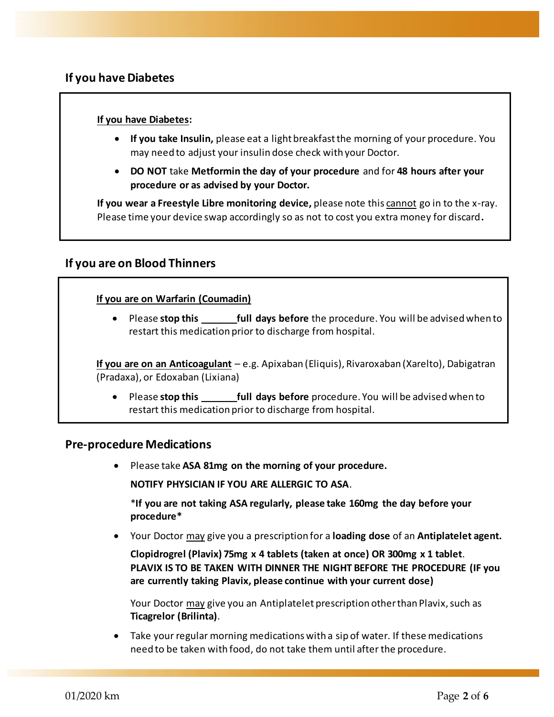## **If you have Diabetes**

#### **If you have Diabetes:**

- **If you take Insulin,** please eat a light breakfast the morning of your procedure. You may need to adjust your insulin dose check with your Doctor.
- **DO NOT** take **Metformin the day of your procedure** and for **48 hours after your procedure or as advised by your Doctor.**

**If you wear a Freestyle Libre monitoring device,** please note this cannot go in to the x-ray. Please time your device swap accordingly so as not to cost you extra money for discard**.**

## **If you are on Blood Thinners**

#### **If you are on Warfarin (Coumadin)**

 Please **stop this \_\_\_\_\_\_\_full days before** the procedure. You will be advised when to restart this medication prior to discharge from hospital.

**If you are on an Anticoagulant** – e.g. Apixaban (Eliquis), Rivaroxaban (Xarelto), Dabigatran (Pradaxa), or Edoxaban (Lixiana)

• Please **stop this full days before** procedure. You will be advised when to restart this medication prior to discharge from hospital.

#### **Pre-procedure Medications**

Please take **ASA 81mg on the morning of your procedure.** 

**NOTIFY PHYSICIAN IF YOU ARE ALLERGIC TO ASA**.

\***If you are not taking ASA regularly, please take 160mg the day before your procedure\***

Your Doctor may give you a prescription for a **loading dose** of an **Antiplatelet agent.** 

**Clopidrogrel (Plavix) 75mg x 4 tablets (taken at once) OR 300mg x 1 tablet**. **PLAVIX IS TO BE TAKEN WITH DINNER THE NIGHT BEFORE THE PROCEDURE (IF you are currently taking Plavix, please continue with your current dose)**

Your Doctor may give you an Antiplatelet prescription other than Plavix, such as **Ticagrelor (Brilinta)**.

 Take your regular morning medications with a sip of water. If these medications need to be taken with food, do not take them until after the procedure.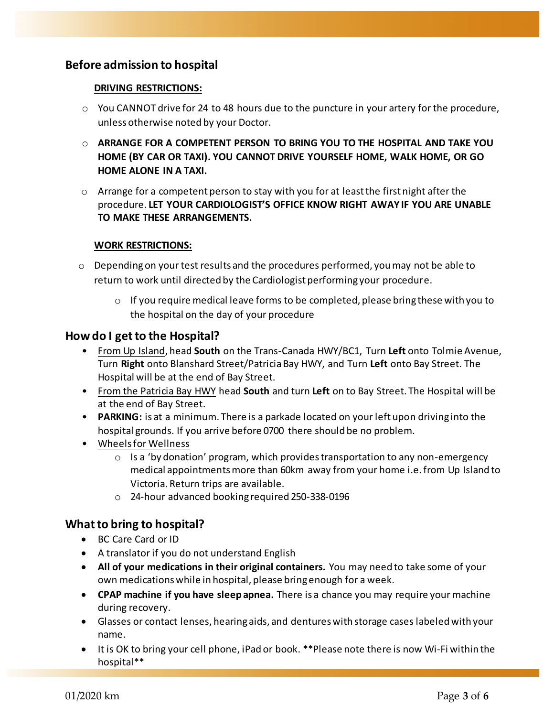## **Before admission to hospital**

#### **DRIVING RESTRICTIONS:**

- $\circ$  You CANNOT drive for 24 to 48 hours due to the puncture in your artery for the procedure, unless otherwise noted by your Doctor.
- o **ARRANGE FOR A COMPETENT PERSON TO BRING YOU TO THE HOSPITAL AND TAKE YOU HOME (BY CAR OR TAXI). YOU CANNOT DRIVE YOURSELF HOME, WALK HOME, OR GO HOME ALONE IN A TAXI.**
- $\circ$  Arrange for a competent person to stay with you for at least the first night after the procedure. **LET YOUR CARDIOLOGIST'S OFFICE KNOW RIGHT AWAY IF YOU ARE UNABLE TO MAKE THESE ARRANGEMENTS.**

#### **WORK RESTRICTIONS:**

- $\circ$  Depending on your test results and the procedures performed, you may not be able to return to work until directed by the Cardiologist performing your procedure.
	- $\circ$  If you require medical leave forms to be completed, please bring these with you to the hospital on the day of your procedure

### **How do I get to the Hospital?**

- From Up Island, head **South** on the Trans-Canada HWY/BC1, Turn **Left** onto Tolmie Avenue, Turn **Right** onto Blanshard Street/Patricia Bay HWY, and Turn **Left** onto Bay Street. The Hospital will be at the end of Bay Street.
- From the Patricia Bay HWY head **South** and turn **Left** on to Bay Street. The Hospital will be at the end of Bay Street.
- **PARKING:** is at a minimum. There is a parkade located on your left upon driving into the hospital grounds. If you arrive before 0700 there should be no problem.
- Wheels for Wellness
	- $\circ$  Is a 'by donation' program, which provides transportation to any non-emergency medical appointments more than 60km away from your home i.e. from Up Island to Victoria. Return trips are available.
	- o 24-hour advanced booking required 250-338-0196

## **What to bring to hospital?**

- BC Care Card or ID
- A translator if you do not understand English
- **All of your medications in their original containers.** You may need to take some of your own medications while in hospital, please bring enough for a week.
- **CPAP machine if you have sleep apnea.** There is a chance you may require your machine during recovery.
- Glasses or contact lenses, hearing aids, and dentures with storage cases labeled with your name.
- It is OK to bring your cell phone, iPad or book. \*\*Please note there is now Wi-Fi within the hospital\*\*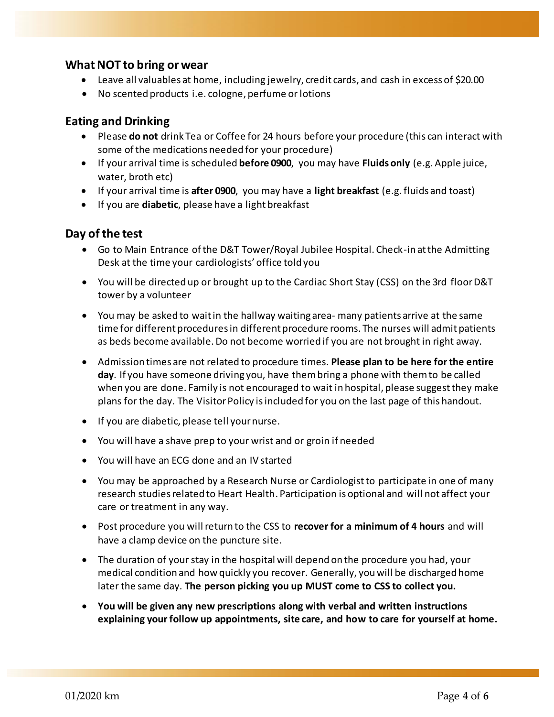## **What NOT to bring or wear**

- Leave all valuables at home, including jewelry, credit cards, and cash in excess of \$20.00
- No scented products i.e. cologne, perfume or lotions

## **Eating and Drinking**

- Please **do not** drink Tea or Coffee for 24 hours before your procedure (this can interact with some of the medications needed for your procedure)
- If your arrival time is scheduled **before 0900**, you may have **Fluids only** (e.g. Apple juice, water, broth etc)
- If your arrival time is **after 0900**, you may have a **light breakfast** (e.g.fluids and toast)
- If you are **diabetic**, please have a light breakfast

## **Day of the test**

- Go to Main Entrance of the D&T Tower/Royal Jubilee Hospital. Check-in at the Admitting Desk at the time your cardiologists' office told you
- You will be directed up or brought up to the Cardiac Short Stay (CSS) on the 3rd floor D&T tower by a volunteer
- You may be asked to wait in the hallway waiting area- many patients arrive at the same time for different procedures in different procedure rooms. The nurses will admit patients as beds become available. Do not become worried if you are not brought in right away.
- Admission times are not related to procedure times. **Please plan to be here for the entire day**. If you have someone driving you, have thembring a phone with them to be called when you are done. Family is not encouraged to wait in hospital, please suggest they make plans for the day. The Visitor Policy isincluded for you on the last page of this handout.
- If you are diabetic, please tell your nurse.
- You will have a shave prep to your wrist and or groin if needed
- You will have an ECG done and an IV started
- You may be approached by a Research Nurse or Cardiologist to participate in one of many research studies related to Heart Health. Participation is optional and will not affect your care or treatment in any way.
- Post procedure you will return to the CSS to **recover for a minimum of 4 hours** and will have a clamp device on the puncture site.
- The duration of your stay in the hospital will depend on the procedure you had, your medical condition and how quickly you recover. Generally, you will be discharged home later the same day. **The person picking you up MUST come to CSS to collect you.**
- **You will be given any new prescriptions along with verbal and written instructions explaining your follow up appointments, site care, and how to care for yourself at home.**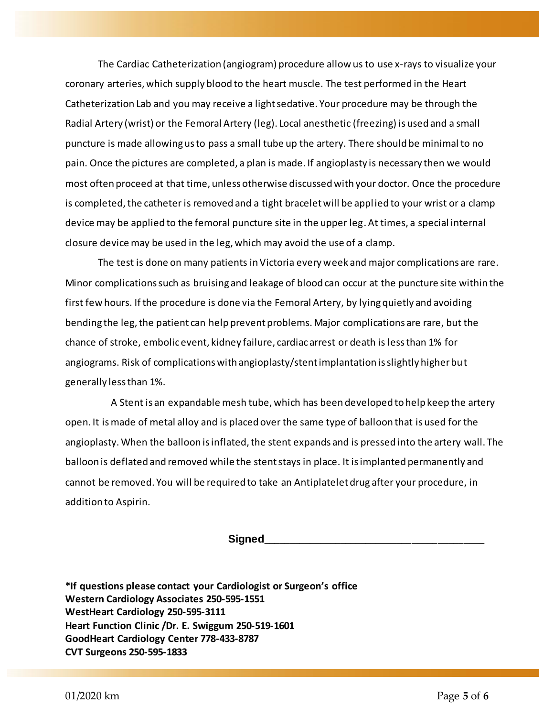The Cardiac Catheterization (angiogram) procedure allow us to use x-rays to visualize your coronary arteries, which supply blood to the heart muscle. The test performed in the Heart Catheterization Lab and you may receive a light sedative. Your procedure may be through the Radial Artery (wrist) or the Femoral Artery (leg). Local anesthetic (freezing) is used and a small puncture is made allowing us to pass a small tube up the artery. There should be minimal to no pain. Once the pictures are completed, a plan is made. If angioplasty is necessary then we would most often proceed at that time, unless otherwise discussed with your doctor. Once the procedure is completed, the catheter is removed and a tight bracelet will be applied to your wrist or a clamp device may be applied to the femoral puncture site in the upper leg. At times, a special internal closure device may be used in the leg, which may avoid the use of a clamp.

The test is done on many patients in Victoria every week and major complications are rare. Minor complications such as bruising and leakage of blood can occur at the puncture site within the first few hours. If the procedure is done via the Femoral Artery, by lying quietly and avoiding bending the leg, the patient can help prevent problems. Major complications are rare, but the chance of stroke, embolic event, kidney failure, cardiac arrest or death is less than 1% for angiograms. Risk of complications with angioplasty/stent implantation is slightly higher but generally less than 1%.

A Stent is an expandable mesh tube, which has been developed to help keep the artery open. It is made of metal alloy and is placed over the same type of balloon that is used for the angioplasty. When the balloon is inflated, the stent expands and is pressed into the artery wall. The balloon is deflated and removed while the stent stays in place. It is implanted permanently and cannot be removed. You will be required to take an Antiplatelet drug after your procedure, in addition to Aspirin.

**Signed\_\_\_\_\_\_\_\_\_\_\_\_\_\_\_\_\_\_\_\_\_\_\_\_\_\_\_\_\_\_\_\_\_\_\_\_\_\_\_\_\_\_\_**

**\*If questions please contact your Cardiologist or Surgeon's office Western Cardiology Associates 250-595-1551 WestHeart Cardiology 250-595-3111 Heart Function Clinic /Dr. E. Swiggum 250-519-1601 GoodHeart Cardiology Center 778-433-8787 CVT Surgeons 250-595-1833**